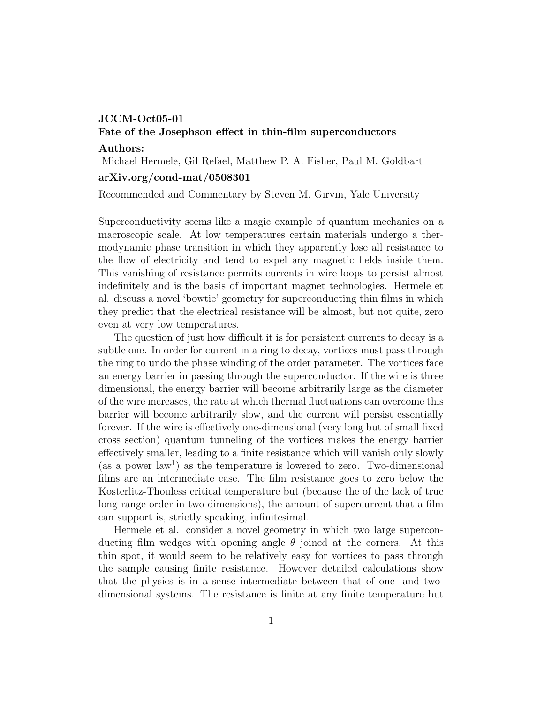## JCCM-Oct05-01

# Fate of the Josephson effect in thin-film superconductors

#### Authors:

Michael Hermele, Gil Refael, Matthew P. A. Fisher, Paul M. Goldbart

### arXiv.org/cond-mat/0508301

Recommended and Commentary by Steven M. Girvin, Yale University

Superconductivity seems like a magic example of quantum mechanics on a macroscopic scale. At low temperatures certain materials undergo a thermodynamic phase transition in which they apparently lose all resistance to the flow of electricity and tend to expel any magnetic fields inside them. This vanishing of resistance permits currents in wire loops to persist almost indefinitely and is the basis of important magnet technologies. Hermele et al. discuss a novel 'bowtie' geometry for superconducting thin films in which they predict that the electrical resistance will be almost, but not quite, zero even at very low temperatures.

The question of just how difficult it is for persistent currents to decay is a subtle one. In order for current in a ring to decay, vortices must pass through the ring to undo the phase winding of the order parameter. The vortices face an energy barrier in passing through the superconductor. If the wire is three dimensional, the energy barrier will become arbitrarily large as the diameter of the wire increases, the rate at which thermal fluctuations can overcome this barrier will become arbitrarily slow, and the current will persist essentially forever. If the wire is effectively one-dimensional (very long but of small fixed cross section) quantum tunneling of the vortices makes the energy barrier effectively smaller, leading to a finite resistance which will vanish only slowly (as a power  $law<sup>1</sup>$ ) as the temperature is lowered to zero. Two-dimensional films are an intermediate case. The film resistance goes to zero below the Kosterlitz-Thouless critical temperature but (because the of the lack of true long-range order in two dimensions), the amount of supercurrent that a film can support is, strictly speaking, infinitesimal.

Hermele et al. consider a novel geometry in which two large superconducting film wedges with opening angle  $\theta$  joined at the corners. At this thin spot, it would seem to be relatively easy for vortices to pass through the sample causing finite resistance. However detailed calculations show that the physics is in a sense intermediate between that of one- and twodimensional systems. The resistance is finite at any finite temperature but